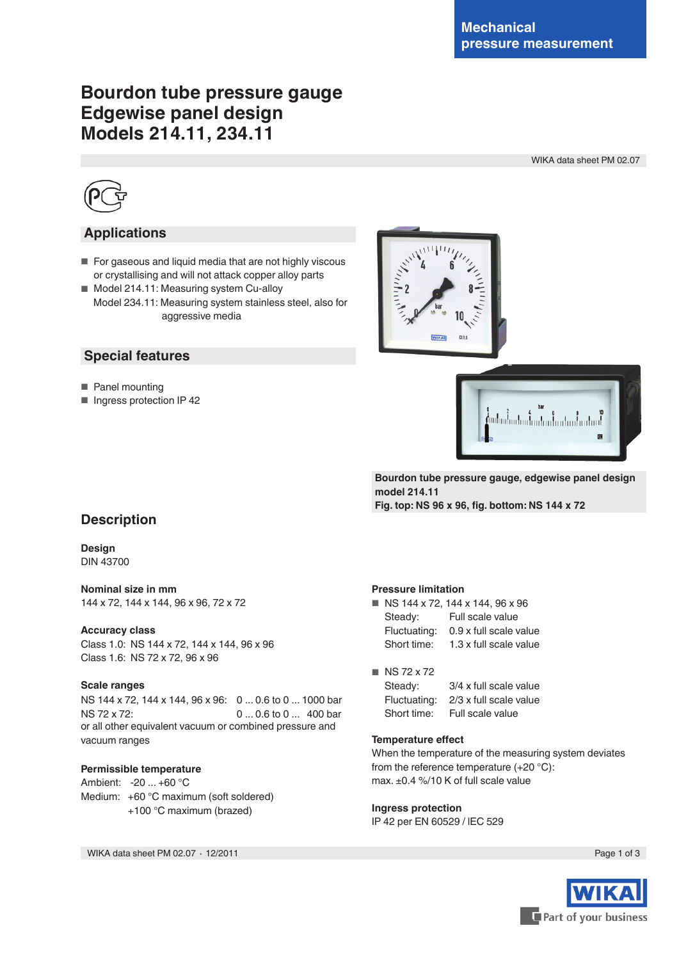# **Bourdon tube pressure gauge Edgewise panel design Models 214.11, 234.11**

WIKA data sheet PM 02.07



## **Applications**

- For gaseous and liquid media that are not highly viscous or crystallising and will not attack copper alloy parts
- Model 214.11: Measuring system Cu-alloy Model 234.11: Measuring system stainless steel, also for aggressive media

### **Special features**

- Panel mounting
- Ingress protection IP 42





**Bourdon tube pressure gauge, edgewise panel design model 214.11 Fig. top: NS 96 x 96, fig. bottom: NS 144 x 72**

## **Description**

**Design** DIN 43700

**Nominal size in mm** 144 x 72, 144 x 144, 96 x 96, 72 x 72

#### **Accuracy class**

Class 1.0: NS 144 x 72, 144 x 144, 96 x 96 Class 1.6: NS 72 x 72, 96 x 96

#### **Scale ranges**

NS 144 x 72, 144 x 144, 96 x 96: 0 ... 0.6 to 0 ... 1000 bar NS 72 x 72: 0 ... 0.6 to 0 ... 400 bar or all other equivalent vacuum or combined pressure and vacuum ranges

### **Permissible temperature**

Ambient: -20 ... +60 °C Medium: +60 °C maximum (soft soldered) +100 °C maximum (brazed)

WIKA data sheet PM 02.07 ⋅ 12/2011 Page 1 of 3

#### **Pressure limitation**

| n. |              | NS 144 x 72, 144 x 144, 96 x 96 |  |  |  |  |  |  |
|----|--------------|---------------------------------|--|--|--|--|--|--|
|    | Steady:      | Full scale value                |  |  |  |  |  |  |
|    | Fluctuating: | 0.9 x full scale value          |  |  |  |  |  |  |
|    | Short time:  | 1.3 x full scale value          |  |  |  |  |  |  |

#### ■ NS 72 x 72

| Steady:      | 3/4 x full scale value |
|--------------|------------------------|
| Fluctuating: | 2/3 x full scale value |
| Short time:  | Full scale value       |

#### **Temperature effect**

When the temperature of the measuring system deviates from the reference temperature (+20 °C): max. ±0.4 %/10 K of full scale value

#### **Ingress protection**

IP 42 per EN 60529 / lEC 529

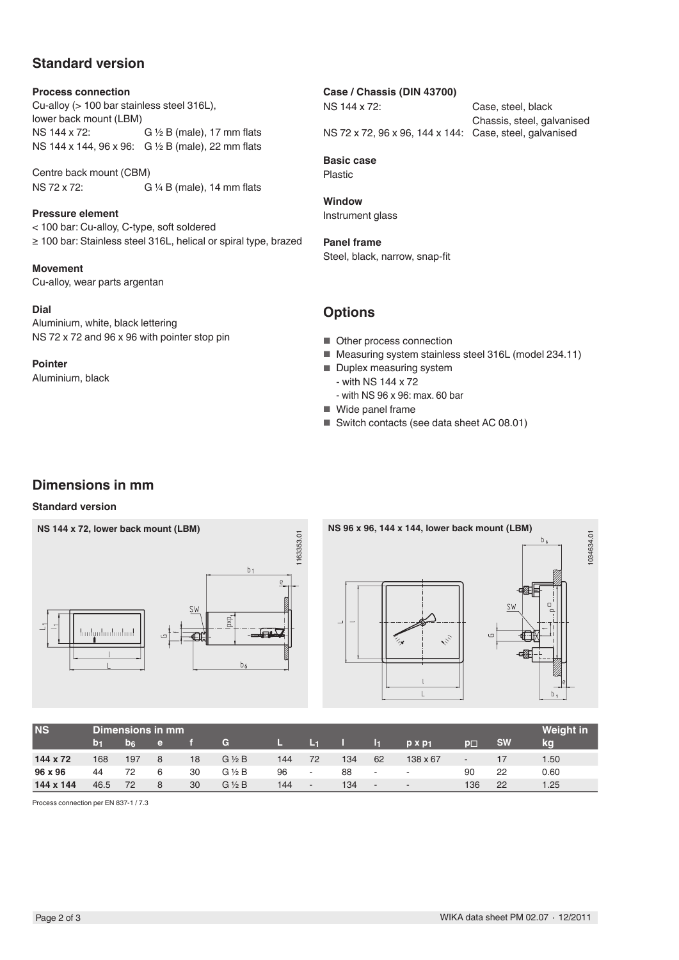## **Standard version**

#### **Process connection**

Cu-alloy (> 100 bar stainless steel 316L), lower back mount (LBM)<br>NS 144 x 72: G  $\frac{1}{2}$  B (male), 17 mm flats NS 144 x 144, 96 x 96: G ½ B (male), 22 mm flats

Centre back mount (CBM) NS 72 x 72: G ¼ B (male), 14 mm flats

**Pressure element** < 100 bar: Cu-alloy, C-type, soft soldered ≥ 100 bar: Stainless steel 316L, helical or spiral type, brazed

**Movement**  Cu-alloy, wear parts argentan

**Dial** Aluminium, white, black lettering NS 72 x 72 and 96 x 96 with pointer stop pin

**Pointer** Aluminium, black

### **Case / Chassis (DIN 43700)**

NS 144 x 72: Case, steel, black

Chassis, steel, galvanised NS 72 x 72, 96 x 96, 144 x 144: Case, steel, galvanised

**Basic case** Plastic

**Window** Instrument glass

**Panel frame** Steel, black, narrow, snap-fit

## **Options**

- Other process connection
- Measuring system stainless steel 316L (model 234.11)
- Duplex measuring system
	- with NS 144 x 72
	- with NS 96 x 96: max. 60 bar
- Wide panel frame
- Switch contacts (see data sheet AC 08.01)

## **Dimensions in mm**

### **Standard version**





| <b>NS</b> | Dimensions in mm |                |    |    |                 |     |        |     |                          |                |                          |           | <b>Weight in</b> |
|-----------|------------------|----------------|----|----|-----------------|-----|--------|-----|--------------------------|----------------|--------------------------|-----------|------------------|
|           | юF               | b <sub>6</sub> | e. |    | G               |     | ы      |     | 11                       | $p \times p_1$ | $p_{\square}$            | <b>SW</b> | kg               |
| 144 x 72  | 168              | 197            | 8  | 18 | $G \nless B$    | 144 | 72     | 134 | 62                       | 138 x 67       | $\overline{\phantom{a}}$ |           | 1.50             |
| 96 x 96   | 44               | 72             | 6  | 30 | $G\frac{1}{2}B$ | 96  | $\sim$ | 88  | $\sim$                   | $\sim$         | 90                       | 22        | 0.60             |
| 144 x 144 | 46.5             | 72             | 8  | 30 | $G\frac{1}{2}B$ | 144 | . .    | 134 | $\overline{\phantom{a}}$ | $\sim$         | 136                      | 22        | 1.25             |

Process connection per EN 837-1 / 7.3